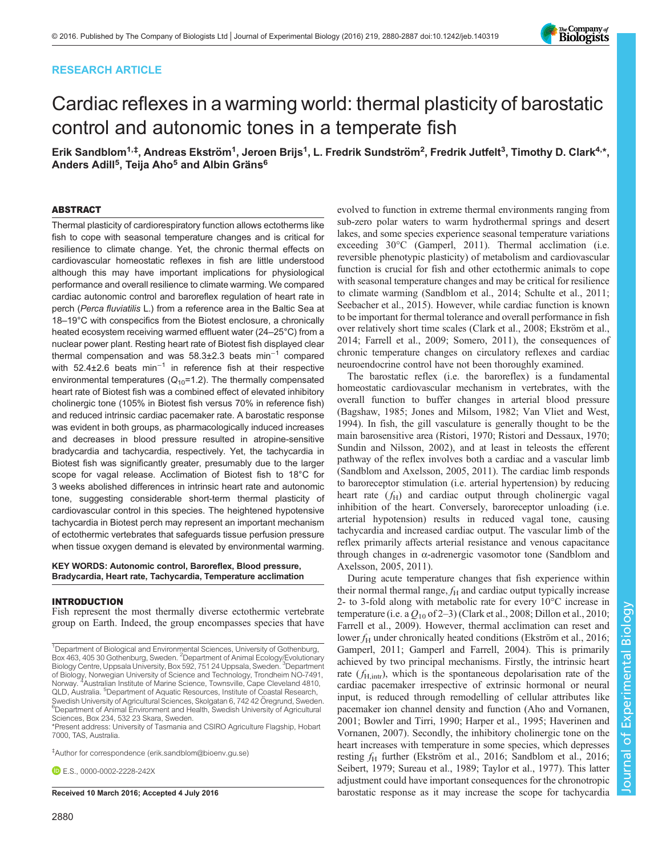# RESEARCH ARTICLE



# Cardiac reflexes in a warming world: thermal plasticity of barostatic control and autonomic tones in a temperate fish

Erik Sandblom<sup>1,‡</sup>, Andreas Ekström<sup>1</sup>, Jeroen Brijs<sup>1</sup>, L. Fredrik Sundström<sup>2</sup>, Fredrik Jutfelt<sup>3</sup>, Timothy D. Clark<sup>4,\*</sup>, Anders Adill<sup>5</sup>, Teija Aho<sup>5</sup> and Albin Gräns<sup>6</sup>

## ABSTRACT

Thermal plasticity of cardiorespiratory function allows ectotherms like fish to cope with seasonal temperature changes and is critical for resilience to climate change. Yet, the chronic thermal effects on cardiovascular homeostatic reflexes in fish are little understood although this may have important implications for physiological performance and overall resilience to climate warming. We compared cardiac autonomic control and baroreflex regulation of heart rate in perch (Perca fluviatilis L.) from a reference area in the Baltic Sea at 18–19°C with conspecifics from the Biotest enclosure, a chronically heated ecosystem receiving warmed effluent water (24–25°C) from a nuclear power plant. Resting heart rate of Biotest fish displayed clear thermal compensation and was 58.3±2.3 beats min−<sup>1</sup> compared with 52.4±2.6 beats min<sup>-1</sup> in reference fish at their respective environmental temperatures  $(Q_{10}=1.2)$ . The thermally compensated heart rate of Biotest fish was a combined effect of elevated inhibitory cholinergic tone (105% in Biotest fish versus 70% in reference fish) and reduced intrinsic cardiac pacemaker rate. A barostatic response was evident in both groups, as pharmacologically induced increases and decreases in blood pressure resulted in atropine-sensitive bradycardia and tachycardia, respectively. Yet, the tachycardia in Biotest fish was significantly greater, presumably due to the larger scope for vagal release. Acclimation of Biotest fish to 18°C for 3 weeks abolished differences in intrinsic heart rate and autonomic tone, suggesting considerable short-term thermal plasticity of cardiovascular control in this species. The heightened hypotensive tachycardia in Biotest perch may represent an important mechanism of ectothermic vertebrates that safeguards tissue perfusion pressure when tissue oxygen demand is elevated by environmental warming.

#### KEY WORDS: Autonomic control, Baroreflex, Blood pressure, Bradycardia, Heart rate, Tachycardia, Temperature acclimation

#### INTRODUCTION

Fish represent the most thermally diverse ectothermic vertebrate group on Earth. Indeed, the group encompasses species that have

\*Present address: University of Tasmania and CSIRO Agriculture Flagship, Hobart 7000, TAS, Australia.

‡ Author for correspondence ([erik.sandblom@bioenv.gu.se](mailto:erik.sandblom@bioenv.gu.se))

 $E.S.0000-0002-2228-242X$ 

evolved to function in extreme thermal environments ranging from sub-zero polar waters to warm hydrothermal springs and desert lakes, and some species experience seasonal temperature variations exceeding 30°C ([Gamperl, 2011\)](#page-7-0). Thermal acclimation (i.e. reversible phenotypic plasticity) of metabolism and cardiovascular function is crucial for fish and other ectothermic animals to cope with seasonal temperature changes and may be critical for resilience to climate warming [\(Sandblom et al., 2014](#page-7-0); [Schulte et al., 2011](#page-7-0); [Seebacher et al., 2015](#page-7-0)). However, while cardiac function is known to be important for thermal tolerance and overall performance in fish over relatively short time scales [\(Clark et al., 2008](#page-7-0); [Ekström et al.,](#page-7-0) [2014; Farrell et al., 2009; Somero, 2011](#page-7-0)), the consequences of chronic temperature changes on circulatory reflexes and cardiac neuroendocrine control have not been thoroughly examined.

The barostatic reflex (i.e. the baroreflex) is a fundamental homeostatic cardiovascular mechanism in vertebrates, with the overall function to buffer changes in arterial blood pressure [\(Bagshaw, 1985;](#page-6-0) [Jones and Milsom, 1982](#page-7-0); [Van Vliet and West,](#page-7-0) [1994\)](#page-7-0). In fish, the gill vasculature is generally thought to be the main barosensitive area [\(Ristori, 1970; Ristori and Dessaux, 1970](#page-7-0); [Sundin and Nilsson, 2002\)](#page-7-0), and at least in teleosts the efferent pathway of the reflex involves both a cardiac and a vascular limb [\(Sandblom and Axelsson, 2005, 2011\)](#page-7-0). The cardiac limb responds to baroreceptor stimulation (i.e. arterial hypertension) by reducing heart rate  $(f<sub>H</sub>)$  and cardiac output through cholinergic vagal inhibition of the heart. Conversely, baroreceptor unloading (i.e. arterial hypotension) results in reduced vagal tone, causing tachycardia and increased cardiac output. The vascular limb of the reflex primarily affects arterial resistance and venous capacitance through changes in α-adrenergic vasomotor tone [\(Sandblom and](#page-7-0) [Axelsson, 2005](#page-7-0), [2011](#page-7-0)).

During acute temperature changes that fish experience within their normal thermal range,  $f_H$  and cardiac output typically increase 2- to 3-fold along with metabolic rate for every 10°C increase in temperature (i.e. a  $Q_{10}$  of 2–3) [\(Clark et al., 2008; Dillon et al., 2010](#page-7-0); [Farrell et al., 2009](#page-7-0)). However, thermal acclimation can reset and lower  $f_H$  under chronically heated conditions [\(Ekström et al., 2016](#page-7-0); [Gamperl, 2011](#page-7-0); [Gamperl and Farrell, 2004\)](#page-7-0). This is primarily achieved by two principal mechanisms. Firstly, the intrinsic heart rate  $(f_{H,intr})$ , which is the spontaneous depolarisation rate of the cardiac pacemaker irrespective of extrinsic hormonal or neural input, is reduced through remodelling of cellular attributes like pacemaker ion channel density and function [\(Aho and Vornanen,](#page-6-0) [2001;](#page-6-0) [Bowler and Tirri, 1990](#page-7-0); [Harper et al., 1995; Haverinen and](#page-7-0) [Vornanen, 2007](#page-7-0)). Secondly, the inhibitory cholinergic tone on the heart increases with temperature in some species, which depresses resting  $f_H$  further ([Ekström et al., 2016; Sandblom et al., 2016](#page-7-0); [Seibert, 1979; Sureau et al., 1989; Taylor et al., 1977\)](#page-7-0). This latter adjustment could have important consequences for the chronotropic Received 10 March 2016; Accepted 4 July 2016 barostatic response as it may increase the scope for tachycardia

<sup>&</sup>lt;sup>1</sup>Department of Biological and Environmental Sciences, University of Gothenburg, Box 463, 405 30 Gothenburg, Sweden. <sup>2</sup> Department of Animal Ecology/Evolutionary Biology Centre, Uppsala University, Box 592, 751 24 Uppsala, Sweden. <sup>3</sup>Department of Biology, Norwegian University of Science and Technology, Trondheim NO-7491,<br>Norway. <sup>4</sup>Austra<u>l</u>ian Institute of Marine Science, Townsville, Cape Cleveland 4810, Australian Institute of Marine Science, Townsville, Cape Cleveland 4810, QLD, Australia. <sup>5</sup>Department of Aquatic Resources, Institute of Coastal Research, Swedish University of Agricultural Sciences, Skolgatan 6, 742 42 Öregrund, Sweden.  ${}^{6}$ Department of Animal Environment and Health, Swedish University of Agricultural Sciences, Box 234, 532 23 Skara, Sweden.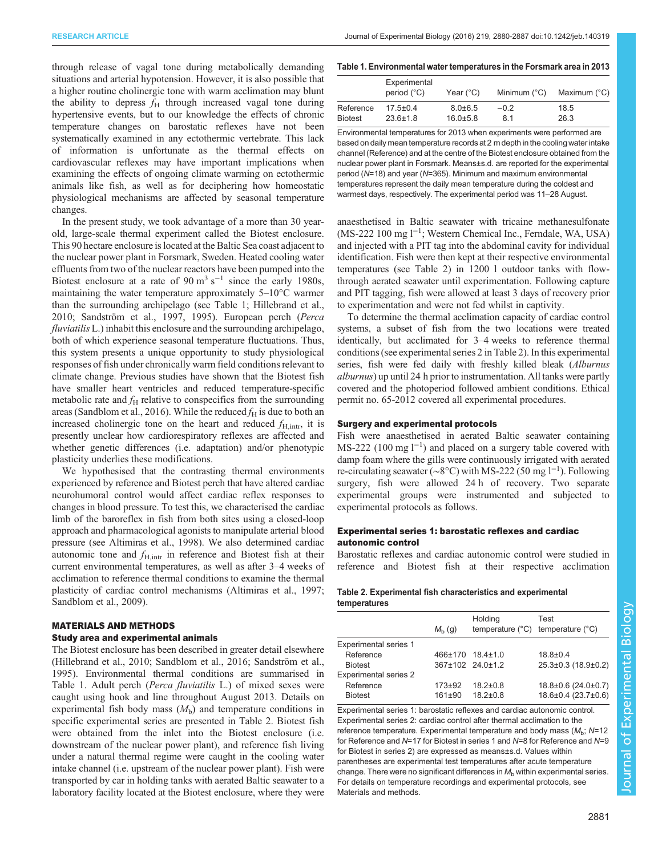<span id="page-1-0"></span>through release of vagal tone during metabolically demanding situations and arterial hypotension. However, it is also possible that a higher routine cholinergic tone with warm acclimation may blunt the ability to depress  $f<sub>H</sub>$  through increased vagal tone during hypertensive events, but to our knowledge the effects of chronic temperature changes on barostatic reflexes have not been systematically examined in any ectothermic vertebrate. This lack of information is unfortunate as the thermal effects on cardiovascular reflexes may have important implications when examining the effects of ongoing climate warming on ectothermic animals like fish, as well as for deciphering how homeostatic physiological mechanisms are affected by seasonal temperature changes.

In the present study, we took advantage of a more than 30 yearold, large-scale thermal experiment called the Biotest enclosure. This 90 hectare enclosure is located at the Baltic Sea coast adjacent to the nuclear power plant in Forsmark, Sweden. Heated cooling water effluents from two of the nuclear reactors have been pumped into the Biotest enclosure at a rate of 90 m<sup>3</sup> s<sup>-1</sup> since the early 1980s, maintaining the water temperature approximately 5–10°C warmer than the surrounding archipelago (see Table 1; [Hillebrand et al.,](#page-7-0) [2010](#page-7-0); [Sandström et al., 1997](#page-7-0), [1995](#page-7-0)). European perch (Perca fluviatilis L.) inhabit this enclosure and the surrounding archipelago, both of which experience seasonal temperature fluctuations. Thus, this system presents a unique opportunity to study physiological responses of fish under chronically warm field conditions relevant to climate change. Previous studies have shown that the Biotest fish have smaller heart ventricles and reduced temperature-specific metabolic rate and  $f_H$  relative to conspecifics from the surrounding areas ([Sandblom et al., 2016](#page-7-0)). While the reduced  $f_H$  is due to both an increased cholinergic tone on the heart and reduced  $f_{\text{H,intr}}$ , it is presently unclear how cardiorespiratory reflexes are affected and whether genetic differences (i.e. adaptation) and/or phenotypic plasticity underlies these modifications.

We hypothesised that the contrasting thermal environments experienced by reference and Biotest perch that have altered cardiac neurohumoral control would affect cardiac reflex responses to changes in blood pressure. To test this, we characterised the cardiac limb of the baroreflex in fish from both sites using a closed-loop approach and pharmacological agonists to manipulate arterial blood pressure (see [Altimiras et al., 1998\)](#page-6-0). We also determined cardiac autonomic tone and  $f_{H,\text{intr}}$  in reference and Biotest fish at their current environmental temperatures, as well as after 3–4 weeks of acclimation to reference thermal conditions to examine the thermal plasticity of cardiac control mechanisms ([Altimiras et al., 1997](#page-6-0); [Sandblom et al., 2009\)](#page-7-0).

# MATERIALS AND METHODS

## Study area and experimental animals

The Biotest enclosure has been described in greater detail elsewhere [\(Hillebrand et al., 2010](#page-7-0); [Sandblom et al., 2016](#page-7-0); [Sandström et al.,](#page-7-0) [1995](#page-7-0)). Environmental thermal conditions are summarised in Table 1. Adult perch (Perca fluviatilis L.) of mixed sexes were caught using hook and line throughout August 2013. Details on experimental fish body mass  $(M_b)$  and temperature conditions in specific experimental series are presented in Table 2. Biotest fish were obtained from the inlet into the Biotest enclosure (i.e. downstream of the nuclear power plant), and reference fish living under a natural thermal regime were caught in the cooling water intake channel (i.e. upstream of the nuclear power plant). Fish were transported by car in holding tanks with aerated Baltic seawater to a laboratory facility located at the Biotest enclosure, where they were

#### Table 1. Environmental water temperatures in the Forsmark area in 2013

|                | Experimental<br>period (°C) | Year (°C)      | Minimum (°C) | Maximum (°C) |
|----------------|-----------------------------|----------------|--------------|--------------|
| Reference      | $17.5 \pm 0.4$              | $8.0 \pm 6.5$  | $-0.2$       | 18.5         |
| <b>Biotest</b> | $23.6 \pm 1.8$              | $16.0 \pm 5.8$ | 81           | 26.3         |

Environmental temperatures for 2013 when experiments were performed are based on daily mean temperature records at 2 m depth in the cooling water intake channel (Reference) and at the centre of the Biotest enclosure obtained from the nuclear power plant in Forsmark. Means±s.d. are reported for the experimental period (N=18) and year (N=365). Minimum and maximum environmental temperatures represent the daily mean temperature during the coldest and warmest days, respectively. The experimental period was 11–28 August.

anaesthetised in Baltic seawater with tricaine methanesulfonate (MS-222 100 mg l−<sup>1</sup> ; Western Chemical Inc., Ferndale, WA, USA) and injected with a PIT tag into the abdominal cavity for individual identification. Fish were then kept at their respective environmental temperatures (see Table 2) in 1200 l outdoor tanks with flowthrough aerated seawater until experimentation. Following capture and PIT tagging, fish were allowed at least 3 days of recovery prior to experimentation and were not fed whilst in captivity.

To determine the thermal acclimation capacity of cardiac control systems, a subset of fish from the two locations were treated identically, but acclimated for 3–4 weeks to reference thermal conditions (see experimental series 2 in Table 2). In this experimental series, fish were fed daily with freshly killed bleak (Alburnus alburnus) up until 24 h prior to instrumentation. All tanks were partly covered and the photoperiod followed ambient conditions. Ethical permit no. 65-2012 covered all experimental procedures.

## Surgery and experimental protocols

Fish were anaesthetised in aerated Baltic seawater containing MS-222 (100 mg l<sup>-1</sup>) and placed on a surgery table covered with damp foam where the gills were continuously irrigated with aerated re-circulating seawater (~8°C) with MS-222 (50 mg l<sup>-1</sup>). Following surgery, fish were allowed 24 h of recovery. Two separate experimental groups were instrumented and subjected to experimental protocols as follows.

## Experimental series 1: barostatic reflexes and cardiac autonomic control

Barostatic reflexes and cardiac autonomic control were studied in reference and Biotest fish at their respective acclimation

## Table 2. Experimental fish characteristics and experimental temperatures

|                              | $M_h$ (g)  | Holding          | Test<br>temperature $(^{\circ}C)$ temperature $(^{\circ}C)$ |
|------------------------------|------------|------------------|-------------------------------------------------------------|
| Experimental series 1        |            |                  |                                                             |
| Reference                    |            | 466±170 18.4±1.0 | $18.8 + 0.4$                                                |
| <b>Biotest</b>               |            | 367±102 24.0±1.2 | 25.3±0.3 (18.9±0.2)                                         |
| <b>Experimental series 2</b> |            |                  |                                                             |
| Reference                    | $173 + 92$ | $18.2 \pm 0.8$   | 18.8±0.6 (24.0±0.7)                                         |
| <b>Biotest</b>               | $161 + 90$ | $18.2 \pm 0.8$   | 18.6±0.4 (23.7±0.6)                                         |
|                              |            |                  |                                                             |

Experimental series 1: barostatic reflexes and cardiac autonomic control. Experimental series 2: cardiac control after thermal acclimation to the reference temperature. Experimental temperature and body mass ( $M<sub>b</sub>$ ; N=12 for Reference and N=17 for Biotest in series 1 and N=8 for Reference and N=9 for Biotest in series 2) are expressed as means±s.d. Values within parentheses are experimental test temperatures after acute temperature change. There were no significant differences in  $M<sub>b</sub>$  within experimental series. For details on temperature recordings and experimental protocols, see Materials and methods.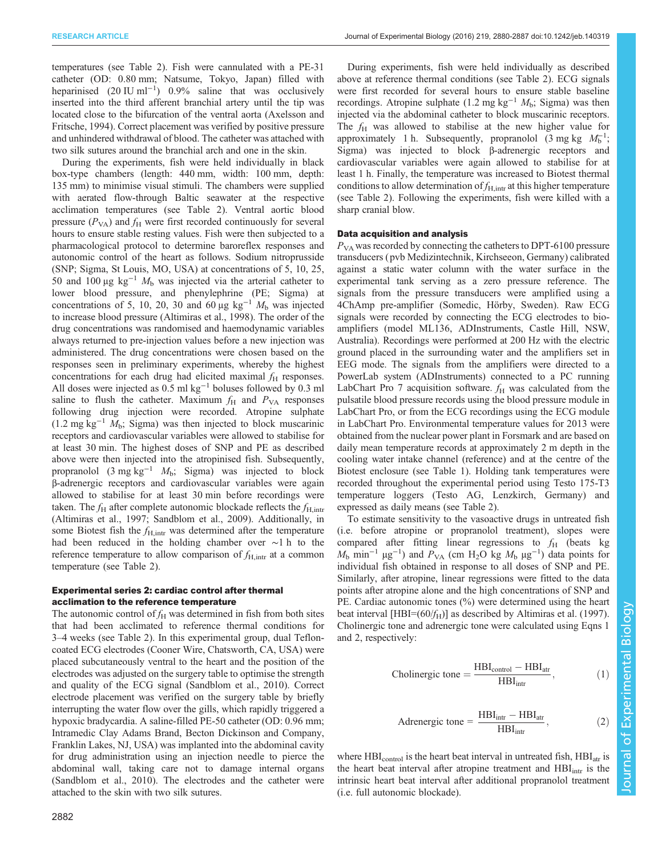temperatures (see [Table 2\)](#page-1-0). Fish were cannulated with a PE-31 catheter (OD: 0.80 mm; Natsume, Tokyo, Japan) filled with heparinised (20 IU ml<sup>-1</sup>) 0.9% saline that was occlusively inserted into the third afferent branchial artery until the tip was located close to the bifurcation of the ventral aorta [\(Axelsson and](#page-6-0) [Fritsche, 1994\)](#page-6-0). Correct placement was verified by positive pressure and unhindered withdrawal of blood. The catheter was attached with two silk sutures around the branchial arch and one in the skin.

During the experiments, fish were held individually in black box-type chambers (length: 440 mm, width: 100 mm, depth: 135 mm) to minimise visual stimuli. The chambers were supplied with aerated flow-through Baltic seawater at the respective acclimation temperatures (see [Table 2](#page-1-0)). Ventral aortic blood pressure  $(P_{VA})$  and  $f_H$  were first recorded continuously for several hours to ensure stable resting values. Fish were then subjected to a pharmacological protocol to determine baroreflex responses and autonomic control of the heart as follows. Sodium nitroprusside (SNP; Sigma, St Louis, MO, USA) at concentrations of 5, 10, 25, 50 and 100 μg kg<sup>-1</sup>  $M<sub>b</sub>$  was injected via the arterial catheter to lower blood pressure, and phenylephrine (PE; Sigma) at concentrations of 5, 10, 20, 30 and 60 μg  $kg^{-1} M_b$  was injected to increase blood pressure [\(Altimiras et al., 1998](#page-6-0)). The order of the drug concentrations was randomised and haemodynamic variables always returned to pre-injection values before a new injection was administered. The drug concentrations were chosen based on the responses seen in preliminary experiments, whereby the highest concentrations for each drug had elicited maximal  $f<sub>H</sub>$  responses. All doses were injected as  $0.5$  ml kg<sup>-1</sup> boluses followed by 0.3 ml saline to flush the catheter. Maximum  $f_H$  and  $P_{VA}$  responses following drug injection were recorded. Atropine sulphate (1.2 mg kg<sup>-1</sup>  $M_b$ ; Sigma) was then injected to block muscarinic receptors and cardiovascular variables were allowed to stabilise for at least 30 min. The highest doses of SNP and PE as described above were then injected into the atropinised fish. Subsequently, propranolol (3 mg kg<sup>-1</sup>  $M_b$ ; Sigma) was injected to block β-adrenergic receptors and cardiovascular variables were again allowed to stabilise for at least 30 min before recordings were taken. The  $f_{\rm H}$  after complete autonomic blockade reflects the  $f_{\rm H,intr}$ [\(Altimiras et al., 1997](#page-6-0); [Sandblom et al., 2009](#page-7-0)). Additionally, in some Biotest fish the  $f_{\text{H,intr}}$  was determined after the temperature had been reduced in the holding chamber over ∼1 h to the reference temperature to allow comparison of  $f_{\text{H,intr}}$  at a common temperature (see [Table 2](#page-1-0)).

## Experimental series 2: cardiac control after thermal acclimation to the reference temperature

The autonomic control of  $f_H$  was determined in fish from both sites that had been acclimated to reference thermal conditions for 3–4 weeks (see [Table 2](#page-1-0)). In this experimental group, dual Tefloncoated ECG electrodes (Cooner Wire, Chatsworth, CA, USA) were placed subcutaneously ventral to the heart and the position of the electrodes was adjusted on the surgery table to optimise the strength and quality of the ECG signal [\(Sandblom et al., 2010\)](#page-7-0). Correct electrode placement was verified on the surgery table by briefly interrupting the water flow over the gills, which rapidly triggered a hypoxic bradycardia. A saline-filled PE-50 catheter (OD: 0.96 mm; Intramedic Clay Adams Brand, Becton Dickinson and Company, Franklin Lakes, NJ, USA) was implanted into the abdominal cavity for drug administration using an injection needle to pierce the abdominal wall, taking care not to damage internal organs [\(Sandblom et al., 2010\)](#page-7-0). The electrodes and the catheter were attached to the skin with two silk sutures.

During experiments, fish were held individually as described above at reference thermal conditions (see [Table 2\)](#page-1-0). ECG signals were first recorded for several hours to ensure stable baseline recordings. Atropine sulphate (1.2 mg kg<sup>-1</sup>  $M_b$ ; Sigma) was then injected via the abdominal catheter to block muscarinic receptors. The  $f_H$  was allowed to stabilise at the new higher value for approximately 1 h. Subsequently, propranolol (3 mg kg  $M_b^{-1}$ ; Sigma) was injected to block β-adrenergic receptors and cardiovascular variables were again allowed to stabilise for at least 1 h. Finally, the temperature was increased to Biotest thermal conditions to allow determination of  $f_{H,\text{intr}}$  at this higher temperature (see [Table 2\)](#page-1-0). Following the experiments, fish were killed with a sharp cranial blow.

## Data acquisition and analysis

 $P_{VA}$  was recorded by connecting the catheters to DPT-6100 pressure transducers ( pvb Medizintechnik, Kirchseeon, Germany) calibrated against a static water column with the water surface in the experimental tank serving as a zero pressure reference. The signals from the pressure transducers were amplified using a 4ChAmp pre-amplifier (Somedic, Hörby, Sweden). Raw ECG signals were recorded by connecting the ECG electrodes to bioamplifiers (model ML136, ADInstruments, Castle Hill, NSW, Australia). Recordings were performed at 200 Hz with the electric ground placed in the surrounding water and the amplifiers set in EEG mode. The signals from the amplifiers were directed to a PowerLab system (ADInstruments) connected to a PC running LabChart Pro 7 acquisition software.  $f_H$  was calculated from the pulsatile blood pressure records using the blood pressure module in LabChart Pro, or from the ECG recordings using the ECG module in LabChart Pro. Environmental temperature values for 2013 were obtained from the nuclear power plant in Forsmark and are based on daily mean temperature records at approximately 2 m depth in the cooling water intake channel (reference) and at the centre of the Biotest enclosure (see [Table 1](#page-1-0)). Holding tank temperatures were recorded throughout the experimental period using Testo 175-T3 temperature loggers (Testo AG, Lenzkirch, Germany) and expressed as daily means (see [Table 2](#page-1-0)).

To estimate sensitivity to the vasoactive drugs in untreated fish (i.e. before atropine or propranolol treatment), slopes were compared after fitting linear regressions to  $f_H$  (beats kg  $M<sub>b</sub>$  min<sup>-1</sup> μg<sup>-1</sup>) and  $P<sub>VA</sub>$  (cm H<sub>2</sub>O kg  $M<sub>b</sub>$  μg<sup>-1</sup>) data points for individual fish obtained in response to all doses of SNP and PE. Similarly, after atropine, linear regressions were fitted to the data points after atropine alone and the high concentrations of SNP and PE. Cardiac autonomic tones (%) were determined using the heart beat interval [HBI= $(60/f_H)$ ] as described by [Altimiras et al. \(1997\).](#page-6-0) Cholinergic tone and adrenergic tone were calculated using Eqns 1 and 2, respectively:

$$
Cholinergic tone = \frac{HBI_{control} - HBI_{atr}}{HBI_{intr}},
$$
 (

Adrenergic tone = 
$$
\frac{\text{HBI}_{\text{intr}} - \text{HBI}_{\text{attr}}}{\text{HBI}_{\text{intr}}},
$$
 (2)

where  $HBI_{control}$  is the heart beat interval in untreated fish,  $HBI_{\text{atr}}$  is the heart beat interval after atropine treatment and  $HBI<sub>intr</sub>$  is the intrinsic heart beat interval after additional propranolol treatment (i.e. full autonomic blockade).

1)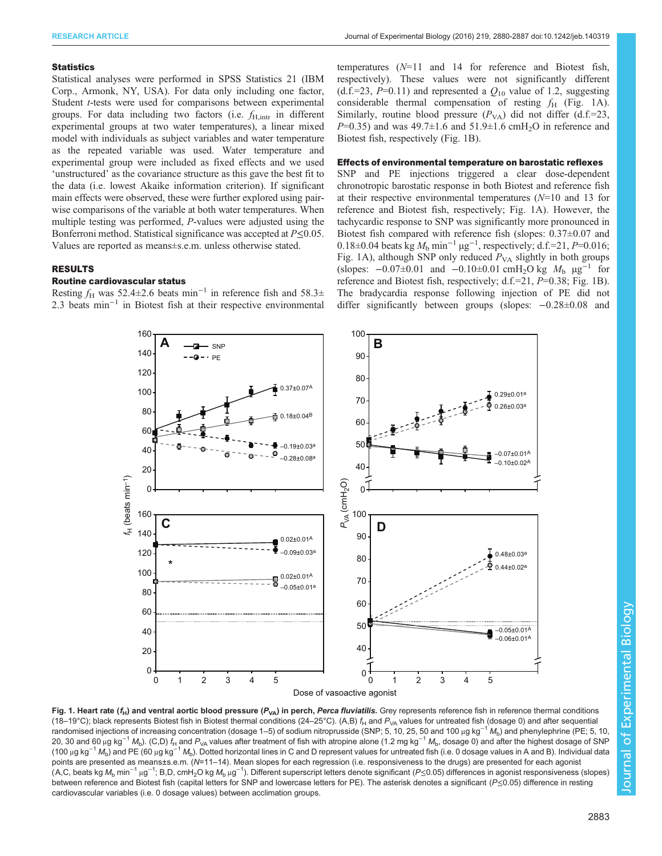#### <span id="page-3-0"></span>**Statistics**

Statistical analyses were performed in SPSS Statistics 21 (IBM Corp., Armonk, NY, USA). For data only including one factor, Student *t*-tests were used for comparisons between experimental groups. For data including two factors (i.e.  $f_{\text{H,intr}}$  in different experimental groups at two water temperatures), a linear mixed model with individuals as subject variables and water temperature as the repeated variable was used. Water temperature and experimental group were included as fixed effects and we used 'unstructured' as the covariance structure as this gave the best fit to the data (i.e. lowest Akaike information criterion). If significant main effects were observed, these were further explored using pairwise comparisons of the variable at both water temperatures. When multiple testing was performed, P-values were adjusted using the Bonferroni method. Statistical significance was accepted at  $P \leq 0.05$ . Values are reported as means±s.e.m. unless otherwise stated.

# RESULTS

#### Routine cardiovascular status

Resting  $f_H$  was 52.4±2.6 beats min<sup>-1</sup> in reference fish and 58.3± 2.3 beats min<sup>-1</sup> in Biotest fish at their respective environmental

temperatures (N=11 and 14 for reference and Biotest fish, respectively). These values were not significantly different (d.f.=23, P=0.11) and represented a  $Q_{10}$  value of 1.2, suggesting considerable thermal compensation of resting  $f_H$  (Fig. 1A). Similarly, routine blood pressure  $(P_{VA})$  did not differ (d.f.=23,  $P=0.35$ ) and was 49.7 $\pm$ 1.6 and 51.9 $\pm$ 1.6 cmH<sub>2</sub>O in reference and Biotest fish, respectively (Fig. 1B).

#### Effects of environmental temperature on barostatic reflexes

SNP and PE injections triggered a clear dose-dependent chronotropic barostatic response in both Biotest and reference fish at their respective environmental temperatures  $(N=10$  and 13 for reference and Biotest fish, respectively; Fig. 1A). However, the tachycardic response to SNP was significantly more pronounced in Biotest fish compared with reference fish (slopes: 0.37±0.07 and 0.18±0.04 beats kg  $M_b$  min<sup>-1</sup> µg<sup>-1</sup>, respectively; d.f.=21, P=0.016; Fig. 1A), although SNP only reduced  $P_{VA}$  slightly in both groups (slopes:  $-0.07\pm0.01$  and  $-0.10\pm0.01$  cmH<sub>2</sub>O kg  $M_b$  µg<sup>-1</sup> for reference and Biotest fish, respectively; d.f.=21, P=0.38; Fig. 1B). The bradycardia response following injection of PE did not differ significantly between groups (slopes: −0.28±0.08 and



Fig. 1. Heart rate ( $f_H$ ) and ventral aortic blood pressure ( $P_{VA}$ ) in perch, Perca fluviatilis. Grey represents reference fish in reference thermal conditions (18–19°C); black represents Biotest fish in Biotest thermal conditions (24–25°C). (A,B)  $f_H$  and  $P_{VA}$  values for untreated fish (dosage 0) and after sequential randomised injections of increasing concentration (dosage 1–5) of sodium nitroprusside (SNP; 5, 10, 25, 50 and 100 µg kg<sup>-1</sup>  $M_b$ ) and phenylephrine (PE; 5, 10, 20, 30 and 60 μg kg<sup>-1</sup> M<sub>b</sub>). (C,D) f<sub>H</sub> and P<sub>VA</sub> values after treatment of fish with atropine alone (1.2 mg kg<sup>-1</sup> M<sub>b</sub>, dosage 0) and after the highest dosage of SNP (100 µg kg<sup>-1</sup> M<sub>b</sub>) and PE (60 µg kg<sup>-1</sup> M<sub>b</sub>). Dotted horizontal lines in C and D represent values for untreated fish (i.e. 0 dosage values in A and B). Individual data points are presented as means±s.e.m. (N=11-14). Mean slopes for each regression (i.e. responsiveness to the drugs) are presented for each agonist (A,C, beats kg M<sub>b</sub> min<sup>−1</sup> μg<sup>−1</sup>; B,D, cmH<sub>2</sub>O kg M<sub>b</sub> μg<sup>−1</sup>). Different superscript letters denote significant (*P*≤0.05) differences in agonist responsiveness (slopes) between reference and Biotest fish (capital letters for SNP and lowercase letters for PE). The asterisk denotes a significant (P≤0.05) difference in resting cardiovascular variables (i.e. 0 dosage values) between acclimation groups.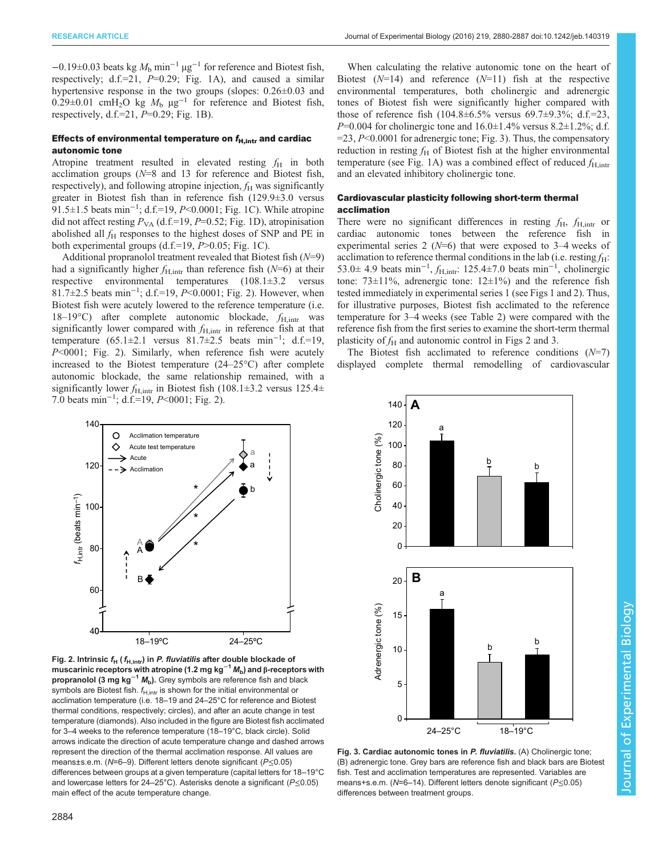<span id="page-4-0"></span> $-0.19\pm0.03$  beats kg  $M_b$  min<sup>-1</sup> µg<sup>-1</sup> for reference and Biotest fish, respectively; d.f.=21,  $P=0.29$ ; [Fig. 1A](#page-3-0)), and caused a similar hypertensive response in the two groups (slopes:  $0.26\pm0.03$  and 0.29±0.01 cmH<sub>2</sub>O kg  $M_b$   $\mu$ g<sup>-1</sup> for reference and Biotest fish, respectively, d.f.= $21, P=0.29$ ; [Fig. 1B](#page-3-0)).

## Effects of environmental temperature on  $f_{\text{H,intr}}$  and cardiac autonomic tone

Atropine treatment resulted in elevated resting  $f_H$  in both acclimation groups (N=8 and 13 for reference and Biotest fish, respectively), and following atropine injection,  $f_H$  was significantly greater in Biotest fish than in reference fish (129.9±3.0 versus 91.5±1.5 beats min<sup>-1</sup>; d.f.=19, P<0.0001; [Fig. 1](#page-3-0)C). While atropine did not affect resting  $P_{VA}$  (d.f.=19, P=0.52; [Fig. 1](#page-3-0)D), atropinisation abolished all  $f<sub>H</sub>$  responses to the highest doses of SNP and PE in both experimental groups  $(d.f.=19, P>0.05; Fig. 1C)$  $(d.f.=19, P>0.05; Fig. 1C)$  $(d.f.=19, P>0.05; Fig. 1C)$ .

Additional propranolol treatment revealed that Biotest fish  $(N=9)$ had a significantly higher  $f_{H,\text{intr}}$  than reference fish ( $N=6$ ) at their respective environmental temperatures (108.1±3.2 versus 81.7±2.5 beats min<sup>-1</sup>; d.f.=19, P<0.0001; Fig. 2). However, when Biotest fish were acutely lowered to the reference temperature (i.e. 18–19°C) after complete autonomic blockade,  $f_{H,intr}$  was significantly lower compared with  $f_{H,intr}$  in reference fish at that temperature  $(65.1 \pm 2.1$  versus  $81.7 \pm 2.5$  beats min<sup>-1</sup>; d.f.=19, P<0001; Fig. 2). Similarly, when reference fish were acutely increased to the Biotest temperature (24–25°C) after complete autonomic blockade, the same relationship remained, with a significantly lower  $f_{\text{H,intr}}$  in Biotest fish (108.1±3.2 versus 125.4± 7.0 beats min<sup>-1</sup>; d.f.=19, *P*<0001; Fig. 2).

When calculating the relative autonomic tone on the heart of Biotest  $(N=14)$  and reference  $(N=11)$  fish at the respective environmental temperatures, both cholinergic and adrenergic tones of Biotest fish were significantly higher compared with those of reference fish  $(104.8 \pm 6.5\%$  versus  $69.7 \pm 9.3\%$ ; d.f.=23,  $P=0.004$  for cholinergic tone and  $16.0 \pm 1.4\%$  versus 8.2 $\pm 1.2\%$ ; d.f.  $=$  23, P<0.0001 for adrenergic tone; Fig. 3). Thus, the compensatory reduction in resting  $f_H$  of Biotest fish at the higher environmental temperature (see [Fig. 1A](#page-3-0)) was a combined effect of reduced  $f_{\text{H,intr}}$ and an elevated inhibitory cholinergic tone.

## Cardiovascular plasticity following short-term thermal acclimation

There were no significant differences in resting  $f_H$ ,  $f_{H,\text{intr}}$  or cardiac autonomic tones between the reference fish in experimental series 2 ( $N=6$ ) that were exposed to 3–4 weeks of acclimation to reference thermal conditions in the lab (i.e. resting  $f_H$ : 53.0± 4.9 beats min<sup>-1</sup>,  $f_{H,intr}$ : 125.4±7.0 beats min<sup>-1</sup>, cholinergic tone: 73±11%, adrenergic tone: 12±1%) and the reference fish tested immediately in experimental series 1 (see [Figs 1](#page-3-0) and 2). Thus, for illustrative purposes, Biotest fish acclimated to the reference temperature for 3–4 weeks (see [Table 2\)](#page-1-0) were compared with the reference fish from the first series to examine the short-term thermal plasticity of  $f_H$  and autonomic control in Figs 2 and 3.

The Biotest fish acclimated to reference conditions  $(N=7)$ displayed complete thermal remodelling of cardiovascular



Fig. 2. Intrinsic  $f_H$  ( $f_{H,\text{intr}}$ ) in P. fluviatilis after double blockade of muscarinic receptors with atropine (1.2 mg kg<sup>-1</sup>  $M_{\rm b}$ ) and β-receptors with propranolol (3 mg kg<sup>-1</sup>  $M_b$ ). Grey symbols are reference fish and black symbols are Biotest fish.  $f_{H,int}$  is shown for the initial environmental or acclimation temperature (i.e. 18–19 and 24–25°C for reference and Biotest thermal conditions, respectively; circles), and after an acute change in test temperature (diamonds). Also included in the figure are Biotest fish acclimated for 3–4 weeks to the reference temperature (18–19°C, black circle). Solid arrows indicate the direction of acute temperature change and dashed arrows represent the direction of the thermal acclimation response. All values are means±s.e.m. (N=6–9). Different letters denote significant (P≤0.05) differences between groups at a given temperature (capital letters for 18–19°C and lowercase letters for 24–25°C). Asterisks denote a significant (P≤0.05) main effect of the acute temperature change.



Fig. 3. Cardiac autonomic tones in P. fluviatilis. (A) Cholinergic tone; (B) adrenergic tone. Grey bars are reference fish and black bars are Biotest fish. Test and acclimation temperatures are represented. Variables are means+s.e.m. (N=6–14). Different letters denote significant (P≤0.05) differences between treatment groups.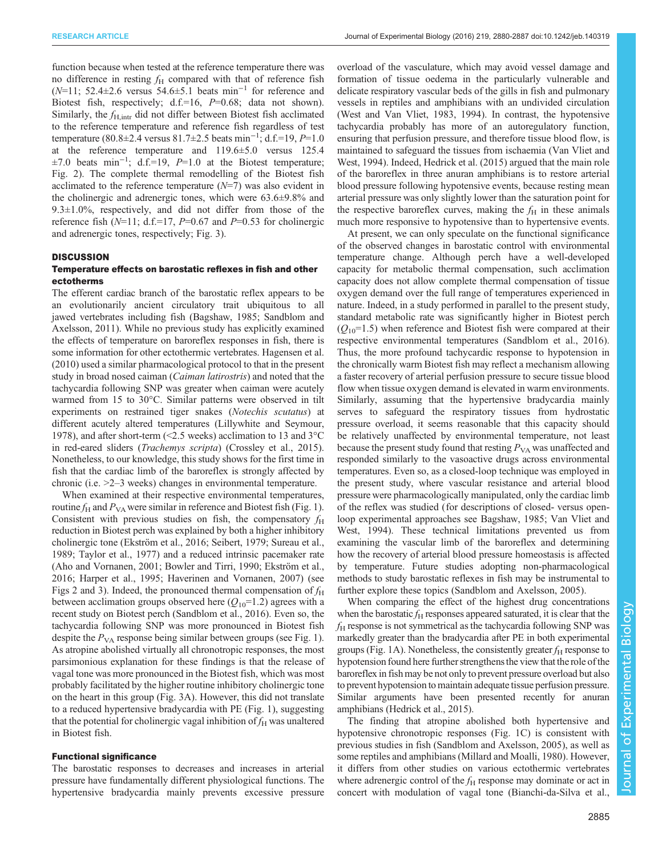function because when tested at the reference temperature there was no difference in resting  $f_H$  compared with that of reference fish ( $N=11$ ; 52.4±2.6 versus 54.6±5.1 beats min<sup>-1</sup> for reference and Biotest fish, respectively; d.f.=16, P=0.68; data not shown). Similarly, the  $f_{\text{H,intr}}$  did not differ between Biotest fish acclimated to the reference temperature and reference fish regardless of test temperature (80.8±2.4 versus 81.7±2.5 beats min<sup>-1</sup>; d.f.=19, P=1.0 at the reference temperature and 119.6±5.0 versus 125.4  $\pm 7.0$  beats min<sup>-1</sup>; d.f.=19, P=1.0 at the Biotest temperature; [Fig. 2\)](#page-4-0). The complete thermal remodelling of the Biotest fish acclimated to the reference temperature  $(N=7)$  was also evident in the cholinergic and adrenergic tones, which were 63.6±9.8% and 9.3±1.0%, respectively, and did not differ from those of the reference fish  $(N=11; d.f.=17, P=0.67$  and  $P=0.53$  for cholinergic and adrenergic tones, respectively; [Fig. 3](#page-4-0)).

#### **DISCUSSION**

# Temperature effects on barostatic reflexes in fish and other ectotherms

The efferent cardiac branch of the barostatic reflex appears to be an evolutionarily ancient circulatory trait ubiquitous to all jawed vertebrates including fish [\(Bagshaw, 1985;](#page-6-0) [Sandblom and](#page-7-0) [Axelsson, 2011](#page-7-0)). While no previous study has explicitly examined the effects of temperature on baroreflex responses in fish, there is some information for other ectothermic vertebrates. [Hagensen et al.](#page-7-0) [\(2010\)](#page-7-0) used a similar pharmacological protocol to that in the present study in broad nosed caiman (Caiman latirostris) and noted that the tachycardia following SNP was greater when caiman were acutely warmed from 15 to 30°C. Similar patterns were observed in tilt experiments on restrained tiger snakes (Notechis scutatus) at different acutely altered temperatures ([Lillywhite and Seymour,](#page-7-0) [1978](#page-7-0)), and after short-term (<2.5 weeks) acclimation to 13 and 3°C in red-eared sliders (Trachemys scripta) [\(Crossley et al., 2015\)](#page-7-0). Nonetheless, to our knowledge, this study shows for the first time in fish that the cardiac limb of the baroreflex is strongly affected by chronic (i.e. >2–3 weeks) changes in environmental temperature.

When examined at their respective environmental temperatures, routine  $f_H$  and  $P_{VA}$  were similar in reference and Biotest fish [\(Fig. 1\)](#page-3-0). Consistent with previous studies on fish, the compensatory  $f_H$ reduction in Biotest perch was explained by both a higher inhibitory cholinergic tone [\(Ekström et al., 2016; Seibert, 1979; Sureau et al.,](#page-7-0) [1989](#page-7-0); [Taylor et al., 1977\)](#page-7-0) and a reduced intrinsic pacemaker rate [\(Aho and Vornanen, 2001](#page-6-0); [Bowler and Tirri, 1990; Ekström et al.,](#page-7-0) [2016](#page-7-0); [Harper et al., 1995; Haverinen and Vornanen, 2007\)](#page-7-0) (see [Figs 2](#page-4-0) and [3](#page-4-0)). Indeed, the pronounced thermal compensation of  $f_H$ between acclimation groups observed here  $(Q_{10}=1.2)$  agrees with a recent study on Biotest perch ([Sandblom et al., 2016\)](#page-7-0). Even so, the tachycardia following SNP was more pronounced in Biotest fish despite the  $P_{VA}$  response being similar between groups (see [Fig. 1\)](#page-3-0). As atropine abolished virtually all chronotropic responses, the most parsimonious explanation for these findings is that the release of vagal tone was more pronounced in the Biotest fish, which was most probably facilitated by the higher routine inhibitory cholinergic tone on the heart in this group [\(Fig. 3](#page-4-0)A). However, this did not translate to a reduced hypertensive bradycardia with PE ([Fig. 1\)](#page-3-0), suggesting that the potential for cholinergic vagal inhibition of  $f_H$  was unaltered in Biotest fish.

## Functional significance

The barostatic responses to decreases and increases in arterial pressure have fundamentally different physiological functions. The hypertensive bradycardia mainly prevents excessive pressure overload of the vasculature, which may avoid vessel damage and formation of tissue oedema in the particularly vulnerable and delicate respiratory vascular beds of the gills in fish and pulmonary vessels in reptiles and amphibians with an undivided circulation [\(West and Van Vliet, 1983, 1994](#page-7-0)). In contrast, the hypotensive tachycardia probably has more of an autoregulatory function, ensuring that perfusion pressure, and therefore tissue blood flow, is maintained to safeguard the tissues from ischaemia ([Van Vliet and](#page-7-0) [West, 1994](#page-7-0)). Indeed, [Hedrick et al. \(2015\)](#page-7-0) argued that the main role of the baroreflex in three anuran amphibians is to restore arterial blood pressure following hypotensive events, because resting mean arterial pressure was only slightly lower than the saturation point for the respective baroreflex curves, making the  $f<sub>H</sub>$  in these animals much more responsive to hypotensive than to hypertensive events.

At present, we can only speculate on the functional significance of the observed changes in barostatic control with environmental temperature change. Although perch have a well-developed capacity for metabolic thermal compensation, such acclimation capacity does not allow complete thermal compensation of tissue oxygen demand over the full range of temperatures experienced in nature. Indeed, in a study performed in parallel to the present study, standard metabolic rate was significantly higher in Biotest perch  $(Q_{10}=1.5)$  when reference and Biotest fish were compared at their respective environmental temperatures ([Sandblom et al., 2016\)](#page-7-0). Thus, the more profound tachycardic response to hypotension in the chronically warm Biotest fish may reflect a mechanism allowing a faster recovery of arterial perfusion pressure to secure tissue blood flow when tissue oxygen demand is elevated in warm environments. Similarly, assuming that the hypertensive bradycardia mainly serves to safeguard the respiratory tissues from hydrostatic pressure overload, it seems reasonable that this capacity should be relatively unaffected by environmental temperature, not least because the present study found that resting  $P_{VA}$  was unaffected and responded similarly to the vasoactive drugs across environmental temperatures. Even so, as a closed-loop technique was employed in the present study, where vascular resistance and arterial blood pressure were pharmacologically manipulated, only the cardiac limb of the reflex was studied (for descriptions of closed- versus openloop experimental approaches see [Bagshaw, 1985;](#page-6-0) [Van Vliet and](#page-7-0) [West, 1994\)](#page-7-0). These technical limitations prevented us from examining the vascular limb of the baroreflex and determining how the recovery of arterial blood pressure homeostasis is affected by temperature. Future studies adopting non-pharmacological methods to study barostatic reflexes in fish may be instrumental to further explore these topics ([Sandblom and Axelsson, 2005](#page-7-0)).

When comparing the effect of the highest drug concentrations when the barostatic  $f_H$  responses appeared saturated, it is clear that the  $f<sub>H</sub>$  response is not symmetrical as the tachycardia following SNP was markedly greater than the bradycardia after PE in both experimental groups [\(Fig. 1](#page-3-0)A). Nonetheless, the consistently greater  $f_H$  response to hypotension found here further strengthensthe view that the role of the baroreflex in fish may be not only to prevent pressure overload but also to prevent hypotension to maintain adequate tissue perfusion pressure. Similar arguments have been presented recently for anuran amphibians [\(Hedrick et al., 2015](#page-7-0)).

The finding that atropine abolished both hypertensive and hypotensive chronotropic responses ([Fig. 1](#page-3-0)C) is consistent with previous studies in fish [\(Sandblom and Axelsson, 2005\)](#page-7-0), as well as some reptiles and amphibians ([Millard and Moalli, 1980](#page-7-0)). However, it differs from other studies on various ectothermic vertebrates where adrenergic control of the  $f<sub>H</sub>$  response may dominate or act in concert with modulation of vagal tone [\(Bianchi-da-Silva et al.,](#page-6-0)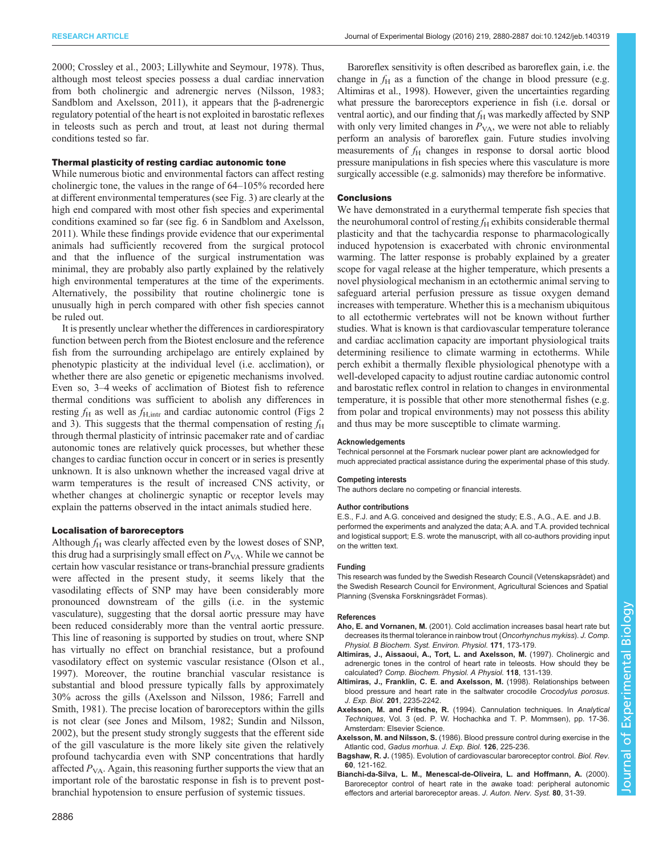<span id="page-6-0"></span>2000; [Crossley et al., 2003; Lillywhite and Seymour, 1978\)](#page-7-0). Thus, although most teleost species possess a dual cardiac innervation from both cholinergic and adrenergic nerves [\(Nilsson, 1983](#page-7-0); [Sandblom and Axelsson, 2011](#page-7-0)), it appears that the β-adrenergic regulatory potential of the heart is not exploited in barostatic reflexes in teleosts such as perch and trout, at least not during thermal conditions tested so far.

## Thermal plasticity of resting cardiac autonomic tone

While numerous biotic and environmental factors can affect resting cholinergic tone, the values in the range of 64–105% recorded here at different environmental temperatures (see [Fig. 3\)](#page-4-0) are clearly at the high end compared with most other fish species and experimental conditions examined so far (see fig. 6 in [Sandblom and Axelsson,](#page-7-0) [2011](#page-7-0)). While these findings provide evidence that our experimental animals had sufficiently recovered from the surgical protocol and that the influence of the surgical instrumentation was minimal, they are probably also partly explained by the relatively high environmental temperatures at the time of the experiments. Alternatively, the possibility that routine cholinergic tone is unusually high in perch compared with other fish species cannot be ruled out.

It is presently unclear whether the differences in cardiorespiratory function between perch from the Biotest enclosure and the reference fish from the surrounding archipelago are entirely explained by phenotypic plasticity at the individual level (i.e. acclimation), or whether there are also genetic or epigenetic mechanisms involved. Even so, 3–4 weeks of acclimation of Biotest fish to reference thermal conditions was sufficient to abolish any differences in resting  $f_{\rm H}$  as well as  $f_{\rm H,intr}$  and cardiac autonomic control ([Figs 2](#page-4-0)) and [3\)](#page-4-0). This suggests that the thermal compensation of resting  $f_H$ through thermal plasticity of intrinsic pacemaker rate and of cardiac autonomic tones are relatively quick processes, but whether these changes to cardiac function occur in concert or in series is presently unknown. It is also unknown whether the increased vagal drive at warm temperatures is the result of increased CNS activity, or whether changes at cholinergic synaptic or receptor levels may explain the patterns observed in the intact animals studied here.

#### Localisation of baroreceptors

Although  $f_H$  was clearly affected even by the lowest doses of SNP, this drug had a surprisingly small effect on  $P_{VA}$ . While we cannot be certain how vascular resistance or trans-branchial pressure gradients were affected in the present study, it seems likely that the vasodilating effects of SNP may have been considerably more pronounced downstream of the gills (i.e. in the systemic vasculature), suggesting that the dorsal aortic pressure may have been reduced considerably more than the ventral aortic pressure. This line of reasoning is supported by studies on trout, where SNP has virtually no effect on branchial resistance, but a profound vasodilatory effect on systemic vascular resistance [\(Olson et al.,](#page-7-0) [1997](#page-7-0)). Moreover, the routine branchial vascular resistance is substantial and blood pressure typically falls by approximately 30% across the gills (Axelsson and Nilsson, 1986; [Farrell and](#page-7-0) [Smith, 1981](#page-7-0)). The precise location of baroreceptors within the gills is not clear (see [Jones and Milsom, 1982](#page-7-0); [Sundin and Nilsson,](#page-7-0) [2002](#page-7-0)), but the present study strongly suggests that the efferent side of the gill vasculature is the more likely site given the relatively profound tachycardia even with SNP concentrations that hardly affected  $P_{VA}$ . Again, this reasoning further supports the view that an important role of the barostatic response in fish is to prevent postbranchial hypotension to ensure perfusion of systemic tissues.

Baroreflex sensitivity is often described as baroreflex gain, i.e. the change in  $f_H$  as a function of the change in blood pressure (e.g. Altimiras et al., 1998). However, given the uncertainties regarding what pressure the baroreceptors experience in fish (i.e. dorsal or ventral aortic), and our finding that  $f_H$  was markedly affected by SNP with only very limited changes in  $P_{VA}$ , we were not able to reliably perform an analysis of baroreflex gain. Future studies involving measurements of  $f_H$  changes in response to dorsal aortic blood pressure manipulations in fish species where this vasculature is more surgically accessible (e.g. salmonids) may therefore be informative.

## **Conclusions**

We have demonstrated in a eurythermal temperate fish species that the neurohumoral control of resting  $f_H$  exhibits considerable thermal plasticity and that the tachycardia response to pharmacologically induced hypotension is exacerbated with chronic environmental warming. The latter response is probably explained by a greater scope for vagal release at the higher temperature, which presents a novel physiological mechanism in an ectothermic animal serving to safeguard arterial perfusion pressure as tissue oxygen demand increases with temperature. Whether this is a mechanism ubiquitous to all ectothermic vertebrates will not be known without further studies. What is known is that cardiovascular temperature tolerance and cardiac acclimation capacity are important physiological traits determining resilience to climate warming in ectotherms. While perch exhibit a thermally flexible physiological phenotype with a well-developed capacity to adjust routine cardiac autonomic control and barostatic reflex control in relation to changes in environmental temperature, it is possible that other more stenothermal fishes (e.g. from polar and tropical environments) may not possess this ability and thus may be more susceptible to climate warming.

#### Acknowledgements

Technical personnel at the Forsmark nuclear power plant are acknowledged for much appreciated practical assistance during the experimental phase of this study.

## Competing interests

The authors declare no competing or financial interests.

#### Author contributions

E.S., F.J. and A.G. conceived and designed the study; E.S., A.G., A.E. and J.B. performed the experiments and analyzed the data; A.A. and T.A. provided technical and logistical support; E.S. wrote the manuscript, with all co-authors providing input on the written text.

#### Funding

This research was funded by the Swedish Research Council (Vetenskapsrådet) and the Swedish Research Council for Environment, Agricultural Sciences and Spatial Planning (Svenska Forskningsrådet Formas).

#### References

- Aho, E. and Vornanen, M. [\(2001\). Cold acclimation increases basal heart rate but](http://dx.doi.org/10.1007/s003600000171) [decreases its thermal tolerance in rainbow trout \(](http://dx.doi.org/10.1007/s003600000171)Oncorhynchus mykiss). J. Comp. [Physiol. B Biochem. Syst. Environ. Physiol.](http://dx.doi.org/10.1007/s003600000171) 171, 173-179.
- [Altimiras, J., Aissaoui, A., Tort, L. and Axelsson, M.](http://dx.doi.org/10.1016/S0300-9629(96)00402-1) (1997). Cholinergic and [adrenergic tones in the control of heart rate in teleosts. How should they be](http://dx.doi.org/10.1016/S0300-9629(96)00402-1) calculated? [Comp. Biochem. Physiol. A Physiol.](http://dx.doi.org/10.1016/S0300-9629(96)00402-1) 118, 131-139.
- Altimiras, J., Franklin, C. E. and Axelsson, M. (1998). Relationships between blood pressure and heart rate in the saltwater crocodile Crocodylus porosus. J. Exp. Biol. 201, 2235-2242.
- Axelsson, M. and Fritsche, R. (1994). Cannulation techniques. In Analytical Techniques, Vol. 3 (ed. P. W. Hochachka and T. P. Mommsen), pp. 17-36. Amsterdam: Elsevier Science.
- Axelsson, M. and Nilsson, S. (1986). Blood pressure control during exercise in the Atlantic cod, Gadus morhua. J. Exp. Biol. 126, 225-236.
- Bagshaw, R. J. [\(1985\). Evolution of cardiovascular baroreceptor control.](http://dx.doi.org/10.1111/j.1469-185X.1985.tb00713.x) Biol. Rev. 60[, 121-162.](http://dx.doi.org/10.1111/j.1469-185X.1985.tb00713.x)
- [Bianchi-da-Silva, L. M., Menescal-de-Oliveira, L. and Hoffmann, A.](http://dx.doi.org/10.1016/S0165-1838(99)00083-1) (2000). [Baroreceptor control of heart rate in the awake toad: peripheral autonomic](http://dx.doi.org/10.1016/S0165-1838(99)00083-1) [effectors and arterial baroreceptor areas.](http://dx.doi.org/10.1016/S0165-1838(99)00083-1) J. Auton. Nerv. Syst. 80, 31-39.